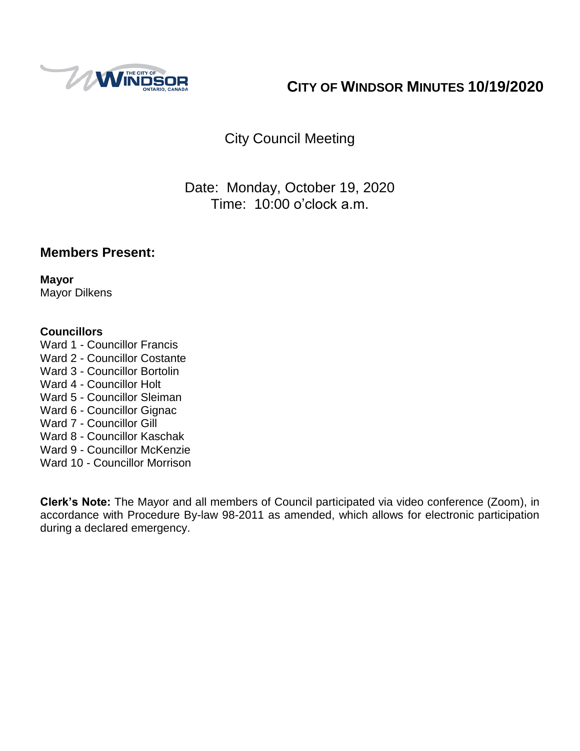

# **CITY OF WINDSOR MINUTES 10/19/2020**

# City Council Meeting

## Date: Monday, October 19, 2020 Time: 10:00 o'clock a.m.

## **Members Present:**

**Mayor** Mayor Dilkens

#### **Councillors**

Ward 1 - Councillor Francis Ward 2 - Councillor Costante Ward 3 - Councillor Bortolin Ward 4 - Councillor Holt Ward 5 - Councillor Sleiman Ward 6 - Councillor Gignac Ward 7 - Councillor Gill Ward 8 - Councillor Kaschak Ward 9 - Councillor McKenzie Ward 10 - Councillor Morrison

**Clerk's Note:** The Mayor and all members of Council participated via video conference (Zoom), in accordance with Procedure By-law 98-2011 as amended, which allows for electronic participation during a declared emergency.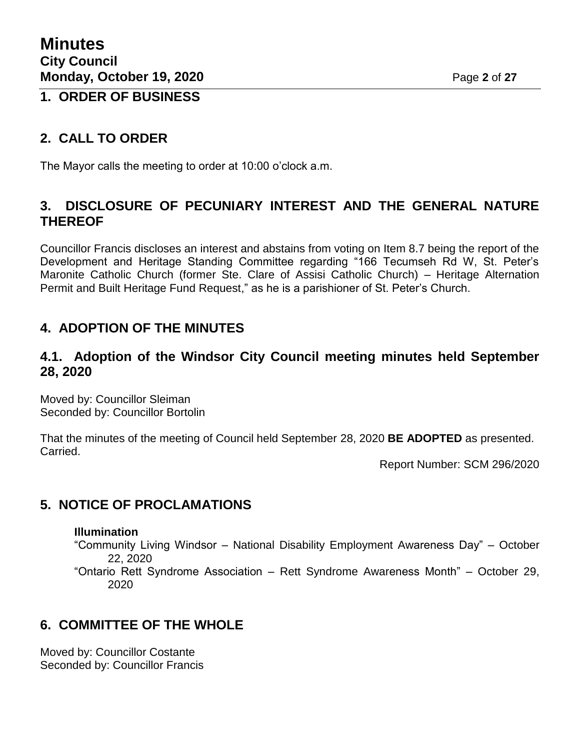## **1. ORDER OF BUSINESS**

## **2. CALL TO ORDER**

The Mayor calls the meeting to order at 10:00 o'clock a.m.

## **3. DISCLOSURE OF PECUNIARY INTEREST AND THE GENERAL NATURE THEREOF**

Councillor Francis discloses an interest and abstains from voting on Item 8.7 being the report of the Development and Heritage Standing Committee regarding "166 Tecumseh Rd W, St. Peter's Maronite Catholic Church (former Ste. Clare of Assisi Catholic Church) – Heritage Alternation Permit and Built Heritage Fund Request," as he is a parishioner of St. Peter's Church.

## **4. ADOPTION OF THE MINUTES**

### **4.1. Adoption of the Windsor City Council meeting minutes held September 28, 2020**

Moved by: Councillor Sleiman Seconded by: Councillor Bortolin

That the minutes of the meeting of Council held September 28, 2020 **BE ADOPTED** as presented. Carried.

Report Number: SCM 296/2020

## **5. NOTICE OF PROCLAMATIONS**

#### **Illumination**

"Community Living Windsor – National Disability Employment Awareness Day" – October 22, 2020

"Ontario Rett Syndrome Association – Rett Syndrome Awareness Month" – October 29, 2020

## **6. COMMITTEE OF THE WHOLE**

Moved by: Councillor Costante Seconded by: Councillor Francis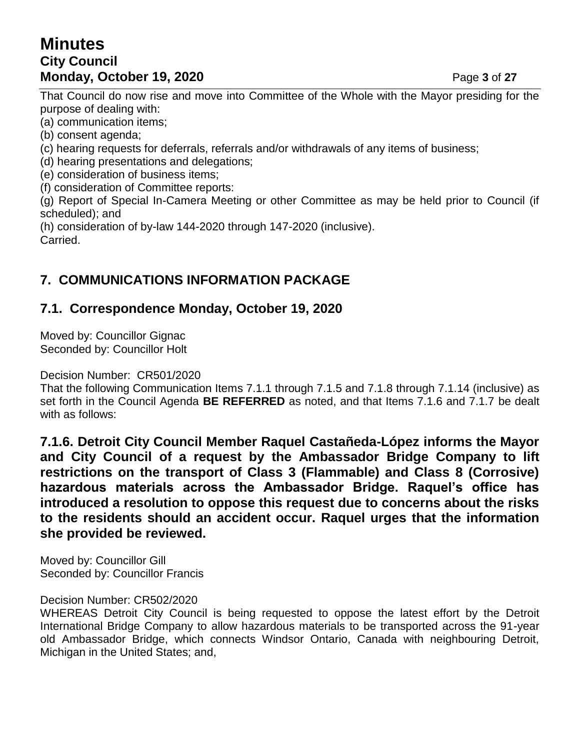## **Minutes City Council Monday, October 19, 2020 Page 3 of 27**

That Council do now rise and move into Committee of the Whole with the Mayor presiding for the purpose of dealing with:

(a) communication items;

(b) consent agenda;

(c) hearing requests for deferrals, referrals and/or withdrawals of any items of business;

(d) hearing presentations and delegations;

(e) consideration of business items;

(f) consideration of Committee reports:

(g) Report of Special In-Camera Meeting or other Committee as may be held prior to Council (if scheduled); and

(h) consideration of by-law 144-2020 through 147-2020 (inclusive). Carried.

## **7. COMMUNICATIONS INFORMATION PACKAGE**

### **7.1. Correspondence Monday, October 19, 2020**

Moved by: Councillor Gignac Seconded by: Councillor Holt

Decision Number: CR501/2020

That the following Communication Items 7.1.1 through 7.1.5 and 7.1.8 through 7.1.14 (inclusive) as set forth in the Council Agenda **BE REFERRED** as noted, and that Items 7.1.6 and 7.1.7 be dealt with as follows:

**7.1.6. Detroit City Council Member Raquel Castañeda-López informs the Mayor and City Council of a request by the Ambassador Bridge Company to lift restrictions on the transport of Class 3 (Flammable) and Class 8 (Corrosive) hazardous materials across the Ambassador Bridge. Raquel's office has introduced a resolution to oppose this request due to concerns about the risks to the residents should an accident occur. Raquel urges that the information she provided be reviewed.**

Moved by: Councillor Gill Seconded by: Councillor Francis

#### Decision Number: CR502/2020

WHEREAS Detroit City Council is being requested to oppose the latest effort by the Detroit International Bridge Company to allow hazardous materials to be transported across the 91-year old Ambassador Bridge, which connects Windsor Ontario, Canada with neighbouring Detroit, Michigan in the United States; and,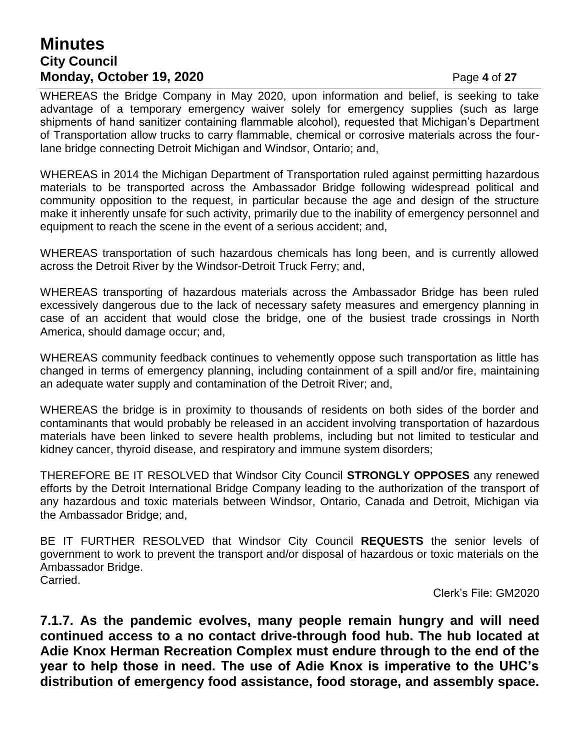## **Minutes City Council Monday, October 19, 2020 Page 4 of 27**

WHEREAS the Bridge Company in May 2020, upon information and belief, is seeking to take advantage of a temporary emergency waiver solely for emergency supplies (such as large shipments of hand sanitizer containing flammable alcohol), requested that Michigan's Department of Transportation allow trucks to carry flammable, chemical or corrosive materials across the fourlane bridge connecting Detroit Michigan and Windsor, Ontario; and,

WHEREAS in 2014 the Michigan Department of Transportation ruled against permitting hazardous materials to be transported across the Ambassador Bridge following widespread political and community opposition to the request, in particular because the age and design of the structure make it inherently unsafe for such activity, primarily due to the inability of emergency personnel and equipment to reach the scene in the event of a serious accident; and,

WHEREAS transportation of such hazardous chemicals has long been, and is currently allowed across the Detroit River by the Windsor-Detroit Truck Ferry; and,

WHEREAS transporting of hazardous materials across the Ambassador Bridge has been ruled excessively dangerous due to the lack of necessary safety measures and emergency planning in case of an accident that would close the bridge, one of the busiest trade crossings in North America, should damage occur; and,

WHEREAS community feedback continues to vehemently oppose such transportation as little has changed in terms of emergency planning, including containment of a spill and/or fire, maintaining an adequate water supply and contamination of the Detroit River; and,

WHEREAS the bridge is in proximity to thousands of residents on both sides of the border and contaminants that would probably be released in an accident involving transportation of hazardous materials have been linked to severe health problems, including but not limited to testicular and kidney cancer, thyroid disease, and respiratory and immune system disorders;

THEREFORE BE IT RESOLVED that Windsor City Council **STRONGLY OPPOSES** any renewed efforts by the Detroit International Bridge Company leading to the authorization of the transport of any hazardous and toxic materials between Windsor, Ontario, Canada and Detroit, Michigan via the Ambassador Bridge; and,

BE IT FURTHER RESOLVED that Windsor City Council **REQUESTS** the senior levels of government to work to prevent the transport and/or disposal of hazardous or toxic materials on the Ambassador Bridge. Carried.

Clerk's File: GM2020

**7.1.7. As the pandemic evolves, many people remain hungry and will need continued access to a no contact drive-through food hub. The hub located at Adie Knox Herman Recreation Complex must endure through to the end of the year to help those in need. The use of Adie Knox is imperative to the UHC's distribution of emergency food assistance, food storage, and assembly space.**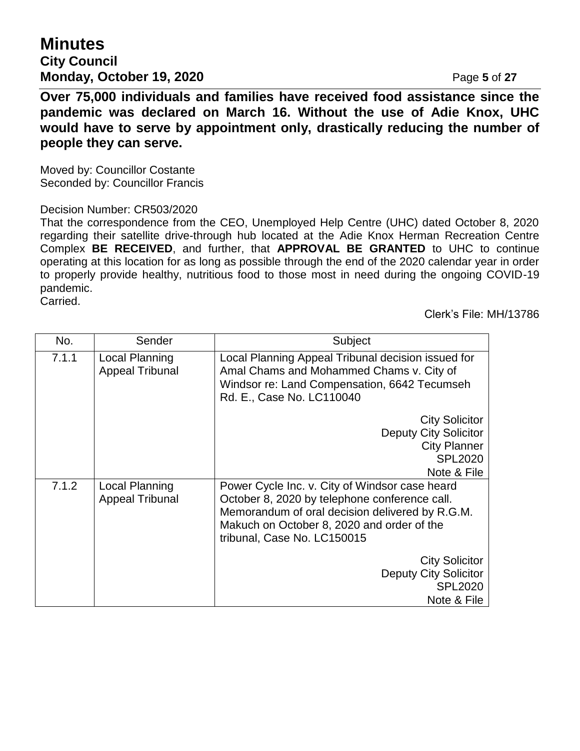## **Minutes City Council Monday, October 19, 2020 Page 5** of 27

**Over 75,000 individuals and families have received food assistance since the pandemic was declared on March 16. Without the use of Adie Knox, UHC would have to serve by appointment only, drastically reducing the number of people they can serve.**

Moved by: Councillor Costante Seconded by: Councillor Francis

#### Decision Number: CR503/2020

That the correspondence from the CEO, Unemployed Help Centre (UHC) dated October 8, 2020 regarding their satellite drive-through hub located at the Adie Knox Herman Recreation Centre Complex **BE RECEIVED**, and further, that **APPROVAL BE GRANTED** to UHC to continue operating at this location for as long as possible through the end of the 2020 calendar year in order to properly provide healthy, nutritious food to those most in need during the ongoing COVID-19 pandemic.

Carried.

Clerk's File: MH/13786

| No.   | Sender                                   | Subject                                                                                                                                                                                                                         |
|-------|------------------------------------------|---------------------------------------------------------------------------------------------------------------------------------------------------------------------------------------------------------------------------------|
| 7.1.1 | Local Planning<br><b>Appeal Tribunal</b> | Local Planning Appeal Tribunal decision issued for<br>Amal Chams and Mohammed Chams v. City of<br>Windsor re: Land Compensation, 6642 Tecumseh<br>Rd. E., Case No. LC110040                                                     |
|       |                                          | <b>City Solicitor</b><br><b>Deputy City Solicitor</b><br><b>City Planner</b><br><b>SPL2020</b><br>Note & File                                                                                                                   |
| 7.1.2 | Local Planning<br><b>Appeal Tribunal</b> | Power Cycle Inc. v. City of Windsor case heard<br>October 8, 2020 by telephone conference call.<br>Memorandum of oral decision delivered by R.G.M.<br>Makuch on October 8, 2020 and order of the<br>tribunal, Case No. LC150015 |
|       |                                          | <b>City Solicitor</b><br><b>Deputy City Solicitor</b><br><b>SPL2020</b><br>Note & File                                                                                                                                          |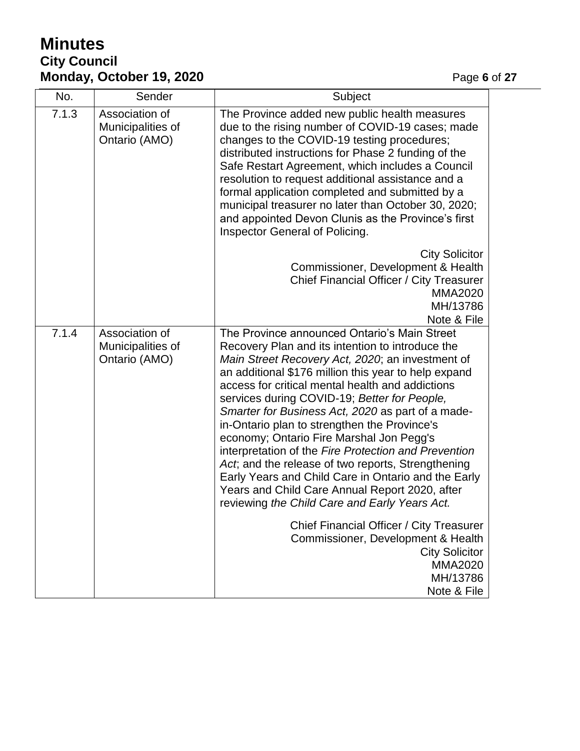# **Minutes City Council Monday, October 19, 2020 Page 6** of 27

| No.   | Sender                                               | Subject                                                                                                                                                                                                                                                                                                                                                                                                                                                                                                                                                                                                                                                                                                                                   |
|-------|------------------------------------------------------|-------------------------------------------------------------------------------------------------------------------------------------------------------------------------------------------------------------------------------------------------------------------------------------------------------------------------------------------------------------------------------------------------------------------------------------------------------------------------------------------------------------------------------------------------------------------------------------------------------------------------------------------------------------------------------------------------------------------------------------------|
| 7.1.3 | Association of<br>Municipalities of<br>Ontario (AMO) | The Province added new public health measures<br>due to the rising number of COVID-19 cases; made<br>changes to the COVID-19 testing procedures;<br>distributed instructions for Phase 2 funding of the<br>Safe Restart Agreement, which includes a Council<br>resolution to request additional assistance and a<br>formal application completed and submitted by a<br>municipal treasurer no later than October 30, 2020;<br>and appointed Devon Clunis as the Province's first<br>Inspector General of Policing.                                                                                                                                                                                                                        |
|       |                                                      | <b>City Solicitor</b><br>Commissioner, Development & Health<br>Chief Financial Officer / City Treasurer<br><b>MMA2020</b><br>MH/13786<br>Note & File                                                                                                                                                                                                                                                                                                                                                                                                                                                                                                                                                                                      |
| 7.1.4 | Association of<br>Municipalities of<br>Ontario (AMO) | The Province announced Ontario's Main Street<br>Recovery Plan and its intention to introduce the<br>Main Street Recovery Act, 2020; an investment of<br>an additional \$176 million this year to help expand<br>access for critical mental health and addictions<br>services during COVID-19; Better for People,<br>Smarter for Business Act, 2020 as part of a made-<br>in-Ontario plan to strengthen the Province's<br>economy; Ontario Fire Marshal Jon Pegg's<br>interpretation of the Fire Protection and Prevention<br>Act, and the release of two reports, Strengthening<br>Early Years and Child Care in Ontario and the Early<br>Years and Child Care Annual Report 2020, after<br>reviewing the Child Care and Early Years Act. |
|       |                                                      | Chief Financial Officer / City Treasurer<br>Commissioner, Development & Health<br><b>City Solicitor</b><br><b>MMA2020</b><br>MH/13786<br>Note & File                                                                                                                                                                                                                                                                                                                                                                                                                                                                                                                                                                                      |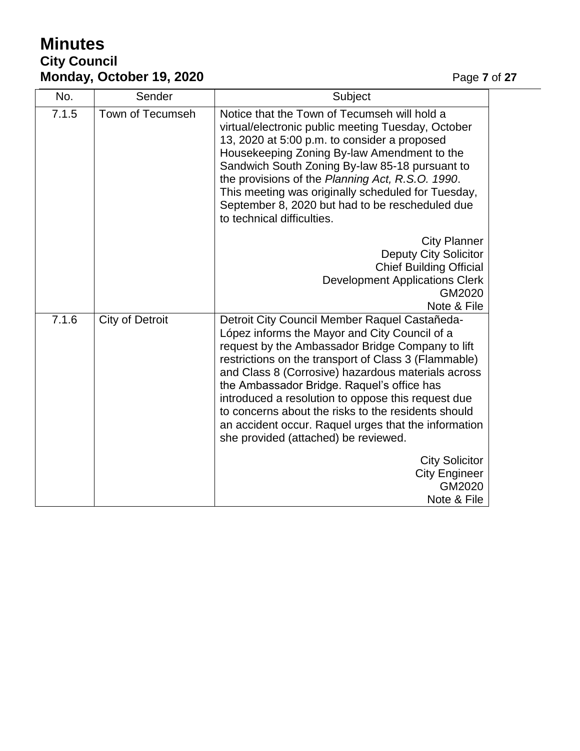# **Minutes City Council Monday, October 19, 2020 Page 7** of 27

| No.   | Sender                 | Subject                                                                                                                                                                                                                                                                                                                                                                                                                                                                                                                     |
|-------|------------------------|-----------------------------------------------------------------------------------------------------------------------------------------------------------------------------------------------------------------------------------------------------------------------------------------------------------------------------------------------------------------------------------------------------------------------------------------------------------------------------------------------------------------------------|
| 7.1.5 | Town of Tecumseh       | Notice that the Town of Tecumseh will hold a<br>virtual/electronic public meeting Tuesday, October<br>13, 2020 at 5:00 p.m. to consider a proposed<br>Housekeeping Zoning By-law Amendment to the<br>Sandwich South Zoning By-law 85-18 pursuant to<br>the provisions of the Planning Act, R.S.O. 1990.<br>This meeting was originally scheduled for Tuesday,<br>September 8, 2020 but had to be rescheduled due<br>to technical difficulties.                                                                              |
|       |                        | <b>City Planner</b><br><b>Deputy City Solicitor</b><br><b>Chief Building Official</b><br><b>Development Applications Clerk</b><br>GM2020<br>Note & File                                                                                                                                                                                                                                                                                                                                                                     |
| 7.1.6 | <b>City of Detroit</b> | Detroit City Council Member Raquel Castañeda-<br>López informs the Mayor and City Council of a<br>request by the Ambassador Bridge Company to lift<br>restrictions on the transport of Class 3 (Flammable)<br>and Class 8 (Corrosive) hazardous materials across<br>the Ambassador Bridge. Raquel's office has<br>introduced a resolution to oppose this request due<br>to concerns about the risks to the residents should<br>an accident occur. Raquel urges that the information<br>she provided (attached) be reviewed. |
|       |                        | <b>City Solicitor</b><br><b>City Engineer</b><br>GM2020<br>Note & File                                                                                                                                                                                                                                                                                                                                                                                                                                                      |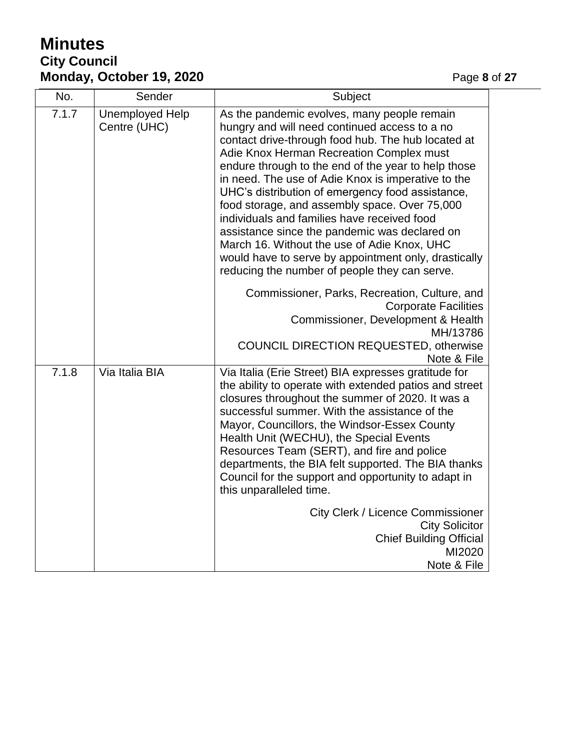# **Minutes City Council Monday, October 19, 2020 Page 8** of 27

| No.   | Sender                                 | Subject                                                                                                                                                                                                                                                                                                                                                                                                                                                                                                                                                                                                                                                                  |
|-------|----------------------------------------|--------------------------------------------------------------------------------------------------------------------------------------------------------------------------------------------------------------------------------------------------------------------------------------------------------------------------------------------------------------------------------------------------------------------------------------------------------------------------------------------------------------------------------------------------------------------------------------------------------------------------------------------------------------------------|
| 7.1.7 | <b>Unemployed Help</b><br>Centre (UHC) | As the pandemic evolves, many people remain<br>hungry and will need continued access to a no<br>contact drive-through food hub. The hub located at<br>Adie Knox Herman Recreation Complex must<br>endure through to the end of the year to help those<br>in need. The use of Adie Knox is imperative to the<br>UHC's distribution of emergency food assistance,<br>food storage, and assembly space. Over 75,000<br>individuals and families have received food<br>assistance since the pandemic was declared on<br>March 16. Without the use of Adie Knox, UHC<br>would have to serve by appointment only, drastically<br>reducing the number of people they can serve. |
|       |                                        | Commissioner, Parks, Recreation, Culture, and<br><b>Corporate Facilities</b><br>Commissioner, Development & Health<br>MH/13786                                                                                                                                                                                                                                                                                                                                                                                                                                                                                                                                           |
|       |                                        | <b>COUNCIL DIRECTION REQUESTED, otherwise</b><br>Note & File                                                                                                                                                                                                                                                                                                                                                                                                                                                                                                                                                                                                             |
| 7.1.8 | Via Italia BIA                         | Via Italia (Erie Street) BIA expresses gratitude for<br>the ability to operate with extended patios and street<br>closures throughout the summer of 2020. It was a<br>successful summer. With the assistance of the<br>Mayor, Councillors, the Windsor-Essex County<br>Health Unit (WECHU), the Special Events<br>Resources Team (SERT), and fire and police<br>departments, the BIA felt supported. The BIA thanks<br>Council for the support and opportunity to adapt in<br>this unparalleled time.                                                                                                                                                                    |
|       |                                        | <b>City Clerk / Licence Commissioner</b><br><b>City Solicitor</b><br><b>Chief Building Official</b><br>MI2020<br>Note & File                                                                                                                                                                                                                                                                                                                                                                                                                                                                                                                                             |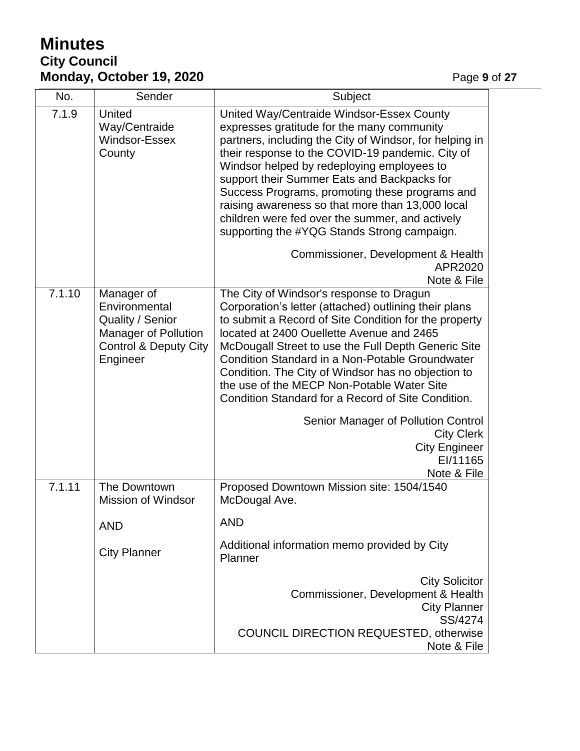# **Minutes City Council Monday, October 19, 2020 Page 9 of 27**

| No.    | Sender                                                                                                                         | Subject                                                                                                                                                                                                                                                                                                                                                                                                                                                                                                     |
|--------|--------------------------------------------------------------------------------------------------------------------------------|-------------------------------------------------------------------------------------------------------------------------------------------------------------------------------------------------------------------------------------------------------------------------------------------------------------------------------------------------------------------------------------------------------------------------------------------------------------------------------------------------------------|
| 7.1.9  | United<br>Way/Centraide<br>Windsor-Essex<br>County                                                                             | United Way/Centraide Windsor-Essex County<br>expresses gratitude for the many community<br>partners, including the City of Windsor, for helping in<br>their response to the COVID-19 pandemic. City of<br>Windsor helped by redeploying employees to<br>support their Summer Eats and Backpacks for<br>Success Programs, promoting these programs and<br>raising awareness so that more than 13,000 local<br>children were fed over the summer, and actively<br>supporting the #YQG Stands Strong campaign. |
|        |                                                                                                                                | Commissioner, Development & Health<br>APR2020<br>Note & File                                                                                                                                                                                                                                                                                                                                                                                                                                                |
| 7.1.10 | Manager of<br>Environmental<br>Quality / Senior<br><b>Manager of Pollution</b><br><b>Control &amp; Deputy City</b><br>Engineer | The City of Windsor's response to Dragun<br>Corporation's letter (attached) outlining their plans<br>to submit a Record of Site Condition for the property<br>located at 2400 Ouellette Avenue and 2465<br>McDougall Street to use the Full Depth Generic Site<br><b>Condition Standard in a Non-Potable Groundwater</b><br>Condition. The City of Windsor has no objection to<br>the use of the MECP Non-Potable Water Site<br>Condition Standard for a Record of Site Condition.                          |
|        |                                                                                                                                | Senior Manager of Pollution Control<br><b>City Clerk</b><br><b>City Engineer</b><br>EI/11165<br>Note & File                                                                                                                                                                                                                                                                                                                                                                                                 |
| 7.1.11 | The Downtown<br>Mission of Windsor                                                                                             | Proposed Downtown Mission site: 1504/1540<br>McDougal Ave.                                                                                                                                                                                                                                                                                                                                                                                                                                                  |
|        | <b>AND</b>                                                                                                                     | <b>AND</b>                                                                                                                                                                                                                                                                                                                                                                                                                                                                                                  |
|        | <b>City Planner</b>                                                                                                            | Additional information memo provided by City<br>Planner                                                                                                                                                                                                                                                                                                                                                                                                                                                     |
|        |                                                                                                                                | <b>City Solicitor</b><br>Commissioner, Development & Health<br><b>City Planner</b><br>SS/4274                                                                                                                                                                                                                                                                                                                                                                                                               |
|        |                                                                                                                                | <b>COUNCIL DIRECTION REQUESTED, otherwise</b><br>Note & File                                                                                                                                                                                                                                                                                                                                                                                                                                                |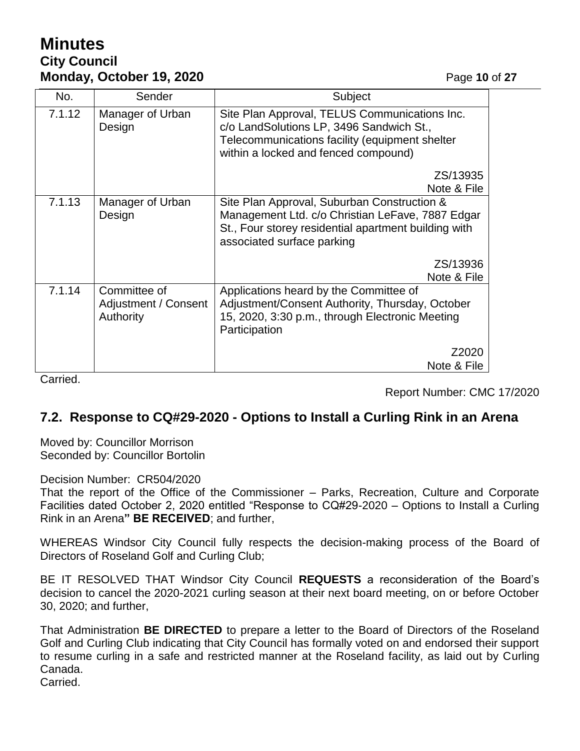# **Minutes City Council Monday, October 19, 2020 Page 10 of 27**

| No.    | Sender                                            | Subject                                                                                                                                                                               |
|--------|---------------------------------------------------|---------------------------------------------------------------------------------------------------------------------------------------------------------------------------------------|
| 7.1.12 | Manager of Urban<br>Design                        | Site Plan Approval, TELUS Communications Inc.<br>c/o LandSolutions LP, 3496 Sandwich St.,<br>Telecommunications facility (equipment shelter<br>within a locked and fenced compound)   |
|        |                                                   | ZS/13935<br>Note & File                                                                                                                                                               |
| 7.1.13 | Manager of Urban<br>Design                        | Site Plan Approval, Suburban Construction &<br>Management Ltd. c/o Christian LeFave, 7887 Edgar<br>St., Four storey residential apartment building with<br>associated surface parking |
|        |                                                   | ZS/13936<br>Note & File                                                                                                                                                               |
| 7.1.14 | Committee of<br>Adjustment / Consent<br>Authority | Applications heard by the Committee of<br>Adjustment/Consent Authority, Thursday, October<br>15, 2020, 3:30 p.m., through Electronic Meeting<br>Participation                         |
|        |                                                   | Z2020<br>Note & File                                                                                                                                                                  |

Carried.

Report Number: CMC 17/2020

### **7.2. Response to CQ#29-2020 - Options to Install a Curling Rink in an Arena**

Moved by: Councillor Morrison Seconded by: Councillor Bortolin

Decision Number: CR504/2020

That the report of the Office of the Commissioner – Parks, Recreation, Culture and Corporate Facilities dated October 2, 2020 entitled "Response to CQ#29-2020 – Options to Install a Curling Rink in an Arena**" BE RECEIVED**; and further,

WHEREAS Windsor City Council fully respects the decision-making process of the Board of Directors of Roseland Golf and Curling Club;

BE IT RESOLVED THAT Windsor City Council **REQUESTS** a reconsideration of the Board's decision to cancel the 2020-2021 curling season at their next board meeting, on or before October 30, 2020; and further,

That Administration **BE DIRECTED** to prepare a letter to the Board of Directors of the Roseland Golf and Curling Club indicating that City Council has formally voted on and endorsed their support to resume curling in a safe and restricted manner at the Roseland facility, as laid out by Curling Canada.

Carried.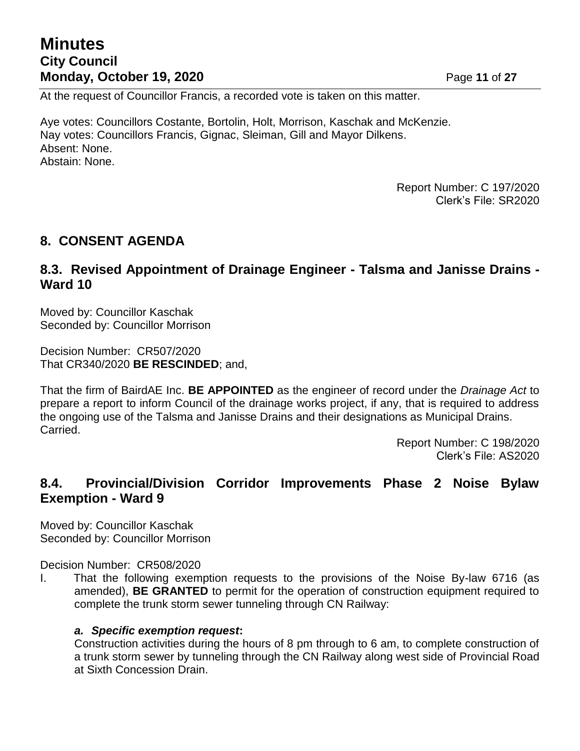## **Minutes City Council Monday, October 19, 2020 Page 11 of 27**

At the request of Councillor Francis, a recorded vote is taken on this matter.

Aye votes: Councillors Costante, Bortolin, Holt, Morrison, Kaschak and McKenzie. Nay votes: Councillors Francis, Gignac, Sleiman, Gill and Mayor Dilkens. Absent: None. Abstain: None.

> Report Number: C 197/2020 Clerk's File: SR2020

### **8. CONSENT AGENDA**

### **8.3. Revised Appointment of Drainage Engineer - Talsma and Janisse Drains - Ward 10**

Moved by: Councillor Kaschak Seconded by: Councillor Morrison

Decision Number: CR507/2020 That CR340/2020 **BE RESCINDED**; and,

That the firm of BairdAE Inc. **BE APPOINTED** as the engineer of record under the *Drainage Act* to prepare a report to inform Council of the drainage works project, if any, that is required to address the ongoing use of the Talsma and Janisse Drains and their designations as Municipal Drains. Carried.

> Report Number: C 198/2020 Clerk's File: AS2020

### **8.4. Provincial/Division Corridor Improvements Phase 2 Noise Bylaw Exemption - Ward 9**

Moved by: Councillor Kaschak Seconded by: Councillor Morrison

Decision Number: CR508/2020

I. That the following exemption requests to the provisions of the Noise By-law 6716 (as amended), **BE GRANTED** to permit for the operation of construction equipment required to complete the trunk storm sewer tunneling through CN Railway:

#### *a. Specific exemption request***:**

Construction activities during the hours of 8 pm through to 6 am, to complete construction of a trunk storm sewer by tunneling through the CN Railway along west side of Provincial Road at Sixth Concession Drain.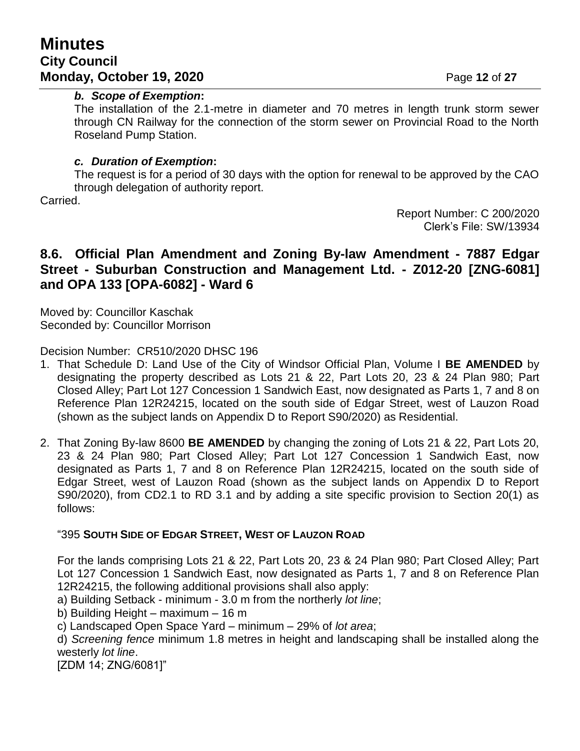## **Minutes City Council Monday, October 19, 2020 Page 12 of 27**

#### *b. Scope of Exemption***:**

The installation of the 2.1-metre in diameter and 70 metres in length trunk storm sewer through CN Railway for the connection of the storm sewer on Provincial Road to the North Roseland Pump Station.

#### *c. Duration of Exemption***:**

The request is for a period of 30 days with the option for renewal to be approved by the CAO through delegation of authority report.

Carried.

Report Number: C 200/2020 Clerk's File: SW/13934

## **8.6. Official Plan Amendment and Zoning By-law Amendment - 7887 Edgar Street - Suburban Construction and Management Ltd. - Z012-20 [ZNG-6081] and OPA 133 [OPA-6082] - Ward 6**

Moved by: Councillor Kaschak Seconded by: Councillor Morrison

Decision Number: CR510/2020 DHSC 196

- 1. That Schedule D: Land Use of the City of Windsor Official Plan, Volume I **BE AMENDED** by designating the property described as Lots 21 & 22, Part Lots 20, 23 & 24 Plan 980; Part Closed Alley; Part Lot 127 Concession 1 Sandwich East, now designated as Parts 1, 7 and 8 on Reference Plan 12R24215, located on the south side of Edgar Street, west of Lauzon Road (shown as the subject lands on Appendix D to Report S90/2020) as Residential.
- 2. That Zoning By-law 8600 **BE AMENDED** by changing the zoning of Lots 21 & 22, Part Lots 20, 23 & 24 Plan 980; Part Closed Alley; Part Lot 127 Concession 1 Sandwich East, now designated as Parts 1, 7 and 8 on Reference Plan 12R24215, located on the south side of Edgar Street, west of Lauzon Road (shown as the subject lands on Appendix D to Report S90/2020), from CD2.1 to RD 3.1 and by adding a site specific provision to Section 20(1) as follows:

#### "395 **SOUTH SIDE OF EDGAR STREET, WEST OF LAUZON ROAD**

For the lands comprising Lots 21 & 22, Part Lots 20, 23 & 24 Plan 980; Part Closed Alley; Part Lot 127 Concession 1 Sandwich East, now designated as Parts 1, 7 and 8 on Reference Plan 12R24215, the following additional provisions shall also apply:

a) Building Setback - minimum - 3.0 m from the northerly *lot line*;

b) Building Height – maximum – 16 m

c) Landscaped Open Space Yard – minimum – 29% of *lot area*;

d) *Screening fence* minimum 1.8 metres in height and landscaping shall be installed along the westerly *lot line*.

[ZDM 14; ZNG/6081]"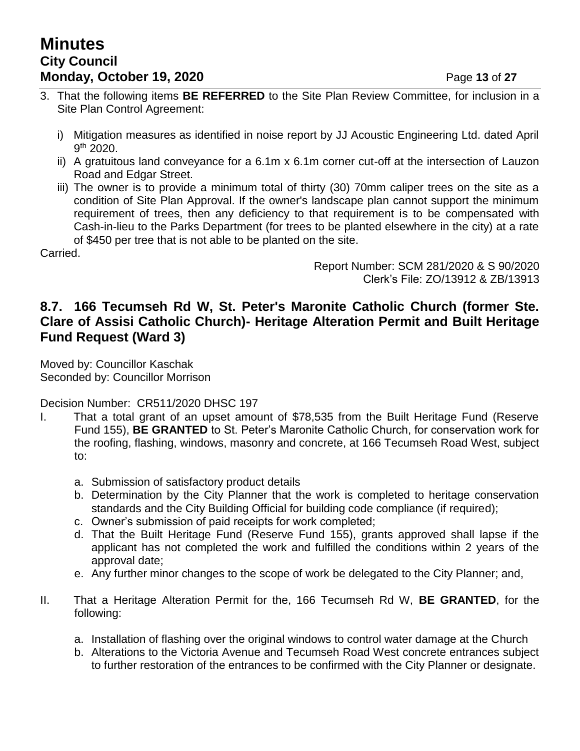## **Minutes City Council Monday, October 19, 2020 Page 13 of 27**

- 3. That the following items **BE REFERRED** to the Site Plan Review Committee, for inclusion in a Site Plan Control Agreement:
	- i) Mitigation measures as identified in noise report by JJ Acoustic Engineering Ltd. dated April 9 th 2020.
	- ii) A gratuitous land conveyance for a 6.1m x 6.1m corner cut-off at the intersection of Lauzon Road and Edgar Street.
	- iii) The owner is to provide a minimum total of thirty (30) 70mm caliper trees on the site as a condition of Site Plan Approval. If the owner's landscape plan cannot support the minimum requirement of trees, then any deficiency to that requirement is to be compensated with Cash-in-lieu to the Parks Department (for trees to be planted elsewhere in the city) at a rate of \$450 per tree that is not able to be planted on the site.

Carried.

Report Number: SCM 281/2020 & S 90/2020 Clerk's File: ZO/13912 & ZB/13913

## **8.7. 166 Tecumseh Rd W, St. Peter's Maronite Catholic Church (former Ste. Clare of Assisi Catholic Church)- Heritage Alteration Permit and Built Heritage Fund Request (Ward 3)**

Moved by: Councillor Kaschak Seconded by: Councillor Morrison

Decision Number: CR511/2020 DHSC 197

- I. That a total grant of an upset amount of \$78,535 from the Built Heritage Fund (Reserve Fund 155), **BE GRANTED** to St. Peter's Maronite Catholic Church, for conservation work for the roofing, flashing, windows, masonry and concrete, at 166 Tecumseh Road West, subject to:
	- a. Submission of satisfactory product details
	- b. Determination by the City Planner that the work is completed to heritage conservation standards and the City Building Official for building code compliance (if required);
	- c. Owner's submission of paid receipts for work completed;
	- d. That the Built Heritage Fund (Reserve Fund 155), grants approved shall lapse if the applicant has not completed the work and fulfilled the conditions within 2 years of the approval date;
	- e. Any further minor changes to the scope of work be delegated to the City Planner; and,
- II. That a Heritage Alteration Permit for the, 166 Tecumseh Rd W, **BE GRANTED**, for the following:
	- a. Installation of flashing over the original windows to control water damage at the Church
	- b. Alterations to the Victoria Avenue and Tecumseh Road West concrete entrances subject to further restoration of the entrances to be confirmed with the City Planner or designate.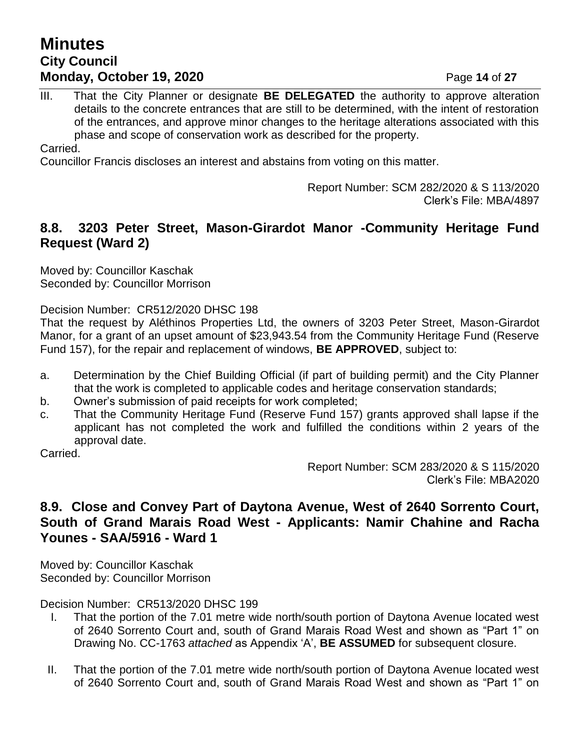## **Minutes City Council Monday, October 19, 2020 Page 14 of 27**

III. That the City Planner or designate **BE DELEGATED** the authority to approve alteration details to the concrete entrances that are still to be determined, with the intent of restoration of the entrances, and approve minor changes to the heritage alterations associated with this phase and scope of conservation work as described for the property.

Carried.

Councillor Francis discloses an interest and abstains from voting on this matter.

Report Number: SCM 282/2020 & S 113/2020 Clerk's File: MBA/4897

### **8.8. 3203 Peter Street, Mason-Girardot Manor -Community Heritage Fund Request (Ward 2)**

Moved by: Councillor Kaschak Seconded by: Councillor Morrison

Decision Number: CR512/2020 DHSC 198

That the request by Aléthinos Properties Ltd, the owners of 3203 Peter Street, Mason-Girardot Manor, for a grant of an upset amount of \$23,943.54 from the Community Heritage Fund (Reserve Fund 157), for the repair and replacement of windows, **BE APPROVED**, subject to:

- a. Determination by the Chief Building Official (if part of building permit) and the City Planner that the work is completed to applicable codes and heritage conservation standards;
- b. Owner's submission of paid receipts for work completed;
- c. That the Community Heritage Fund (Reserve Fund 157) grants approved shall lapse if the applicant has not completed the work and fulfilled the conditions within 2 years of the approval date.

Carried.

Report Number: SCM 283/2020 & S 115/2020 Clerk's File: MBA2020

## **8.9. Close and Convey Part of Daytona Avenue, West of 2640 Sorrento Court, South of Grand Marais Road West - Applicants: Namir Chahine and Racha Younes - SAA/5916 - Ward 1**

Moved by: Councillor Kaschak Seconded by: Councillor Morrison

Decision Number: CR513/2020 DHSC 199

- I. That the portion of the 7.01 metre wide north/south portion of Daytona Avenue located west of 2640 Sorrento Court and, south of Grand Marais Road West and shown as "Part 1" on Drawing No. CC-1763 *attached* as Appendix 'A', **BE ASSUMED** for subsequent closure.
- II. That the portion of the 7.01 metre wide north/south portion of Daytona Avenue located west of 2640 Sorrento Court and, south of Grand Marais Road West and shown as "Part 1" on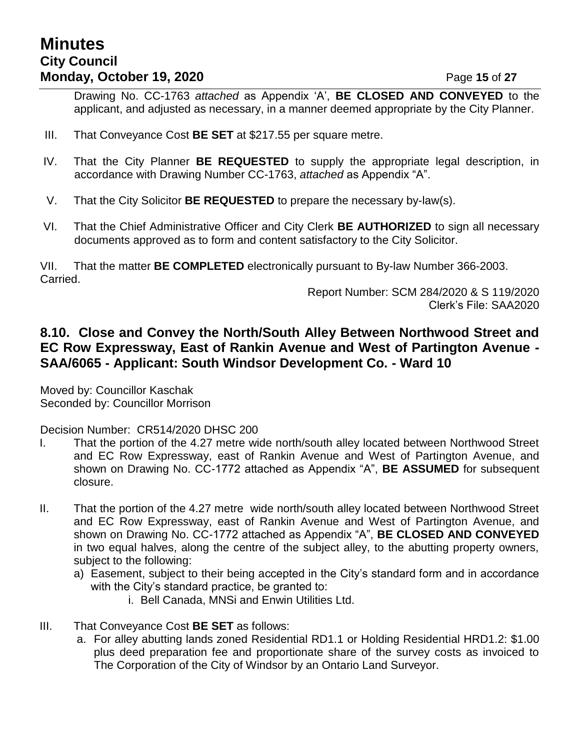## **Minutes City Council Monday, October 19, 2020 Page 15 of 27**

Drawing No. CC-1763 *attached* as Appendix 'A', **BE CLOSED AND CONVEYED** to the applicant, and adjusted as necessary, in a manner deemed appropriate by the City Planner.

- III. That Conveyance Cost **BE SET** at \$217.55 per square metre.
- IV. That the City Planner **BE REQUESTED** to supply the appropriate legal description, in accordance with Drawing Number CC-1763, *attached* as Appendix "A".
- V. That the City Solicitor **BE REQUESTED** to prepare the necessary by-law(s).
- VI. That the Chief Administrative Officer and City Clerk **BE AUTHORIZED** to sign all necessary documents approved as to form and content satisfactory to the City Solicitor.

VII. That the matter **BE COMPLETED** electronically pursuant to By-law Number 366-2003. Carried.

Report Number: SCM 284/2020 & S 119/2020 Clerk's File: SAA2020

## **8.10. Close and Convey the North/South Alley Between Northwood Street and EC Row Expressway, East of Rankin Avenue and West of Partington Avenue - SAA/6065 - Applicant: South Windsor Development Co. - Ward 10**

Moved by: Councillor Kaschak Seconded by: Councillor Morrison

Decision Number: CR514/2020 DHSC 200

- I. That the portion of the 4.27 metre wide north/south alley located between Northwood Street and EC Row Expressway, east of Rankin Avenue and West of Partington Avenue, and shown on Drawing No. CC-1772 attached as Appendix "A", **BE ASSUMED** for subsequent closure.
- II. That the portion of the 4.27 metre wide north/south alley located between Northwood Street and EC Row Expressway, east of Rankin Avenue and West of Partington Avenue, and shown on Drawing No. CC-1772 attached as Appendix "A", **BE CLOSED AND CONVEYED**  in two equal halves, along the centre of the subject alley, to the abutting property owners, subject to the following:
	- a) Easement, subject to their being accepted in the City's standard form and in accordance with the City's standard practice, be granted to:
		- i. Bell Canada, MNSi and Enwin Utilities Ltd.
- III. That Conveyance Cost **BE SET** as follows:
	- a. For alley abutting lands zoned Residential RD1.1 or Holding Residential HRD1.2: \$1.00 plus deed preparation fee and proportionate share of the survey costs as invoiced to The Corporation of the City of Windsor by an Ontario Land Surveyor.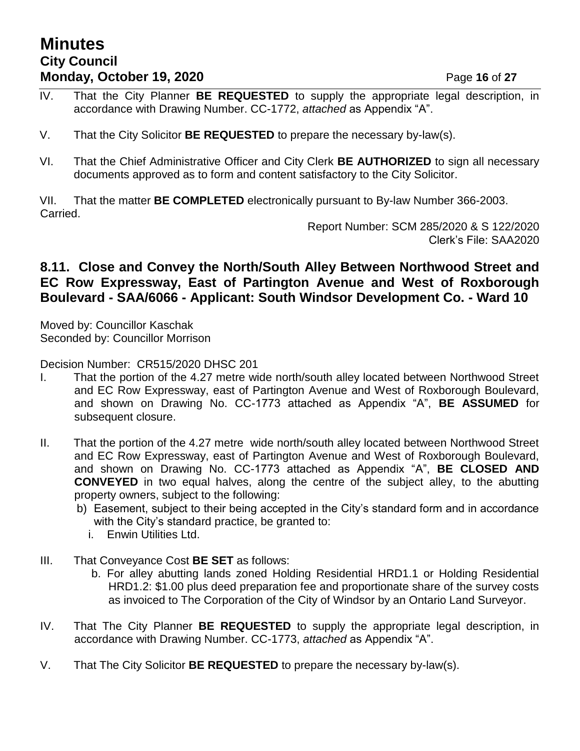## **Minutes City Council Monday, October 19, 2020 Page 16 of 27**

- IV. That the City Planner **BE REQUESTED** to supply the appropriate legal description, in accordance with Drawing Number. CC-1772, *attached* as Appendix "A".
- V. That the City Solicitor **BE REQUESTED** to prepare the necessary by-law(s).
- VI. That the Chief Administrative Officer and City Clerk **BE AUTHORIZED** to sign all necessary documents approved as to form and content satisfactory to the City Solicitor.

VII. That the matter **BE COMPLETED** electronically pursuant to By-law Number 366-2003. Carried.

> Report Number: SCM 285/2020 & S 122/2020 Clerk's File: SAA2020

## **8.11. Close and Convey the North/South Alley Between Northwood Street and EC Row Expressway, East of Partington Avenue and West of Roxborough Boulevard - SAA/6066 - Applicant: South Windsor Development Co. - Ward 10**

Moved by: Councillor Kaschak Seconded by: Councillor Morrison

Decision Number: CR515/2020 DHSC 201

- I. That the portion of the 4.27 metre wide north/south alley located between Northwood Street and EC Row Expressway, east of Partington Avenue and West of Roxborough Boulevard, and shown on Drawing No. CC-1773 attached as Appendix "A", **BE ASSUMED** for subsequent closure.
- II. That the portion of the 4.27 metre wide north/south alley located between Northwood Street and EC Row Expressway, east of Partington Avenue and West of Roxborough Boulevard, and shown on Drawing No. CC-1773 attached as Appendix "A", **BE CLOSED AND CONVEYED** in two equal halves, along the centre of the subject alley, to the abutting property owners, subject to the following:
	- b) Easement, subject to their being accepted in the City's standard form and in accordance with the City's standard practice, be granted to:
		- i. Enwin Utilities Ltd.
- III. That Conveyance Cost **BE SET** as follows:
	- b. For alley abutting lands zoned Holding Residential HRD1.1 or Holding Residential HRD1.2: \$1.00 plus deed preparation fee and proportionate share of the survey costs as invoiced to The Corporation of the City of Windsor by an Ontario Land Surveyor.
- IV. That The City Planner **BE REQUESTED** to supply the appropriate legal description, in accordance with Drawing Number. CC-1773, *attached* as Appendix "A".
- V. That The City Solicitor **BE REQUESTED** to prepare the necessary by-law(s).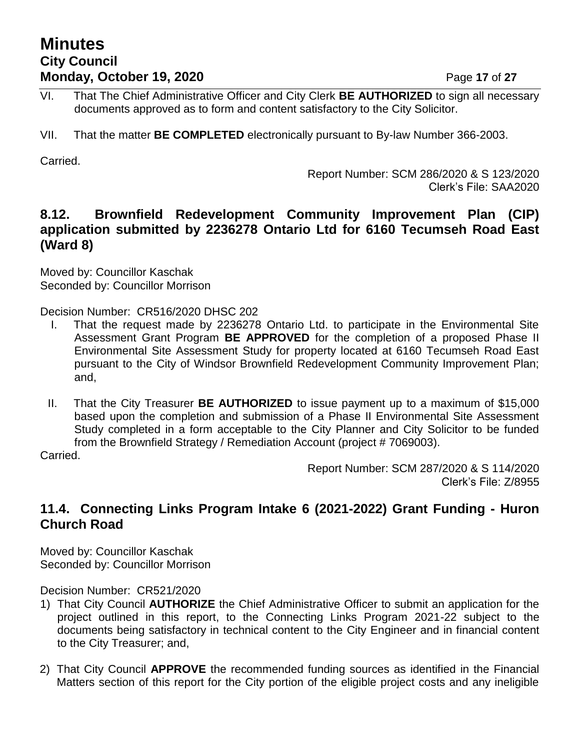## **Minutes City Council Monday, October 19, 2020 Page 17 of 27**

- VI. That The Chief Administrative Officer and City Clerk **BE AUTHORIZED** to sign all necessary documents approved as to form and content satisfactory to the City Solicitor.
- VII. That the matter **BE COMPLETED** electronically pursuant to By-law Number 366-2003.

Carried.

Report Number: SCM 286/2020 & S 123/2020 Clerk's File: SAA2020

## **8.12. Brownfield Redevelopment Community Improvement Plan (CIP) application submitted by 2236278 Ontario Ltd for 6160 Tecumseh Road East (Ward 8)**

Moved by: Councillor Kaschak Seconded by: Councillor Morrison

Decision Number: CR516/2020 DHSC 202

- I. That the request made by 2236278 Ontario Ltd. to participate in the Environmental Site Assessment Grant Program **BE APPROVED** for the completion of a proposed Phase II Environmental Site Assessment Study for property located at 6160 Tecumseh Road East pursuant to the City of Windsor Brownfield Redevelopment Community Improvement Plan; and,
- II. That the City Treasurer **BE AUTHORIZED** to issue payment up to a maximum of \$15,000 based upon the completion and submission of a Phase II Environmental Site Assessment Study completed in a form acceptable to the City Planner and City Solicitor to be funded from the Brownfield Strategy / Remediation Account (project # 7069003).

Carried.

Report Number: SCM 287/2020 & S 114/2020 Clerk's File: Z/8955

## **11.4. Connecting Links Program Intake 6 (2021-2022) Grant Funding - Huron Church Road**

Moved by: Councillor Kaschak Seconded by: Councillor Morrison

Decision Number: CR521/2020

- 1) That City Council **AUTHORIZE** the Chief Administrative Officer to submit an application for the project outlined in this report, to the Connecting Links Program 2021-22 subject to the documents being satisfactory in technical content to the City Engineer and in financial content to the City Treasurer; and,
- 2) That City Council **APPROVE** the recommended funding sources as identified in the Financial Matters section of this report for the City portion of the eligible project costs and any ineligible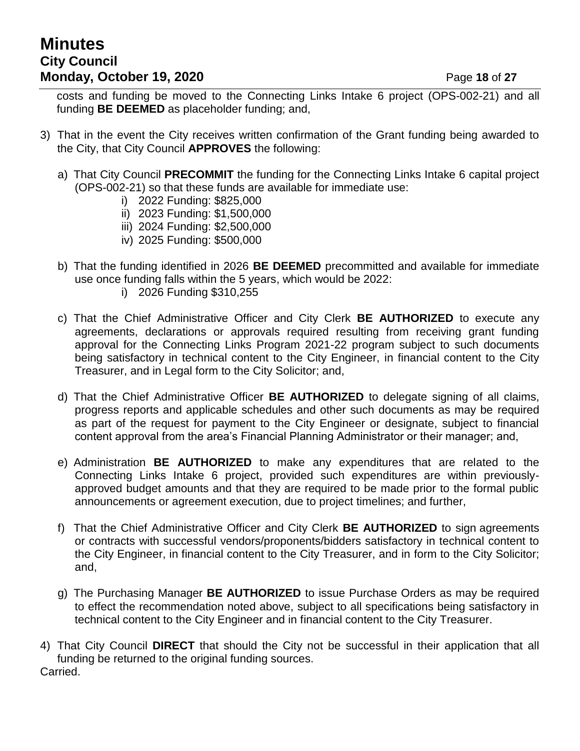## **Minutes City Council Monday, October 19, 2020 Page 18 of 27**

costs and funding be moved to the Connecting Links Intake 6 project (OPS-002-21) and all funding **BE DEEMED** as placeholder funding; and,

- 3) That in the event the City receives written confirmation of the Grant funding being awarded to the City, that City Council **APPROVES** the following:
	- a) That City Council **PRECOMMIT** the funding for the Connecting Links Intake 6 capital project (OPS-002-21) so that these funds are available for immediate use:
		- i) 2022 Funding: \$825,000
		- ii) 2023 Funding: \$1,500,000
		- iii) 2024 Funding: \$2,500,000
		- iv) 2025 Funding: \$500,000
	- b) That the funding identified in 2026 **BE DEEMED** precommitted and available for immediate use once funding falls within the 5 years, which would be 2022:
		- i) 2026 Funding \$310,255
	- c) That the Chief Administrative Officer and City Clerk **BE AUTHORIZED** to execute any agreements, declarations or approvals required resulting from receiving grant funding approval for the Connecting Links Program 2021-22 program subject to such documents being satisfactory in technical content to the City Engineer, in financial content to the City Treasurer, and in Legal form to the City Solicitor; and,
	- d) That the Chief Administrative Officer **BE AUTHORIZED** to delegate signing of all claims, progress reports and applicable schedules and other such documents as may be required as part of the request for payment to the City Engineer or designate, subject to financial content approval from the area's Financial Planning Administrator or their manager; and,
	- e) Administration **BE AUTHORIZED** to make any expenditures that are related to the Connecting Links Intake 6 project, provided such expenditures are within previouslyapproved budget amounts and that they are required to be made prior to the formal public announcements or agreement execution, due to project timelines; and further,
	- f) That the Chief Administrative Officer and City Clerk **BE AUTHORIZED** to sign agreements or contracts with successful vendors/proponents/bidders satisfactory in technical content to the City Engineer, in financial content to the City Treasurer, and in form to the City Solicitor; and,
	- g) The Purchasing Manager **BE AUTHORIZED** to issue Purchase Orders as may be required to effect the recommendation noted above, subject to all specifications being satisfactory in technical content to the City Engineer and in financial content to the City Treasurer.
- 4) That City Council **DIRECT** that should the City not be successful in their application that all funding be returned to the original funding sources. Carried.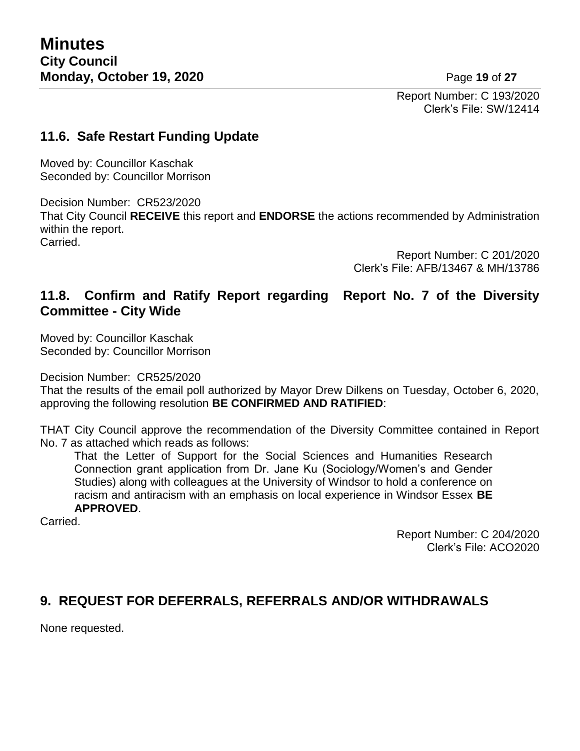Report Number: C 193/2020 Clerk's File: SW/12414

## **11.6. Safe Restart Funding Update**

Moved by: Councillor Kaschak Seconded by: Councillor Morrison

Decision Number: CR523/2020 That City Council **RECEIVE** this report and **ENDORSE** the actions recommended by Administration within the report. Carried.

> Report Number: C 201/2020 Clerk's File: AFB/13467 & MH/13786

## **11.8. Confirm and Ratify Report regarding Report No. 7 of the Diversity Committee - City Wide**

Moved by: Councillor Kaschak Seconded by: Councillor Morrison

Decision Number: CR525/2020

That the results of the email poll authorized by Mayor Drew Dilkens on Tuesday, October 6, 2020, approving the following resolution **BE CONFIRMED AND RATIFIED**:

THAT City Council approve the recommendation of the Diversity Committee contained in Report No. 7 as attached which reads as follows:

That the Letter of Support for the Social Sciences and Humanities Research Connection grant application from Dr. Jane Ku (Sociology/Women's and Gender Studies) along with colleagues at the University of Windsor to hold a conference on racism and antiracism with an emphasis on local experience in Windsor Essex **BE APPROVED**.

Carried.

Report Number: C 204/2020 Clerk's File: ACO2020

## **9. REQUEST FOR DEFERRALS, REFERRALS AND/OR WITHDRAWALS**

None requested.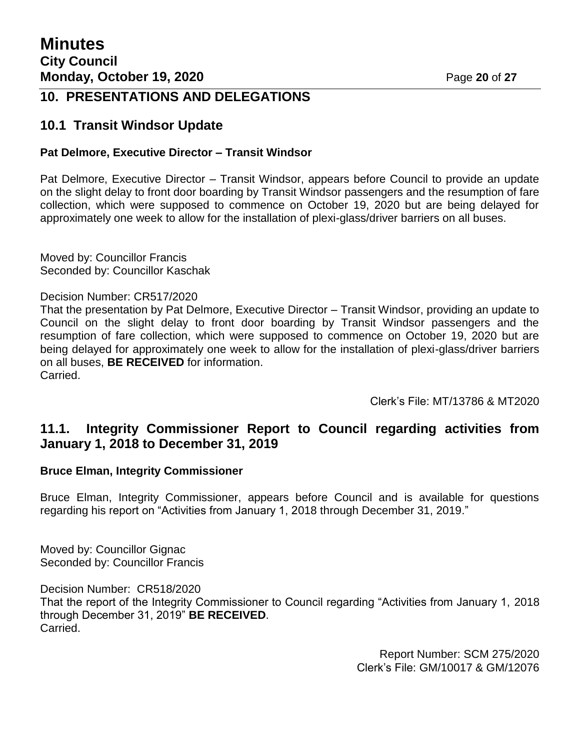## **10. PRESENTATIONS AND DELEGATIONS**

### **10.1 Transit Windsor Update**

#### **Pat Delmore, Executive Director – Transit Windsor**

Pat Delmore, Executive Director – Transit Windsor, appears before Council to provide an update on the slight delay to front door boarding by Transit Windsor passengers and the resumption of fare collection, which were supposed to commence on October 19, 2020 but are being delayed for approximately one week to allow for the installation of plexi-glass/driver barriers on all buses.

Moved by: Councillor Francis Seconded by: Councillor Kaschak

#### Decision Number: CR517/2020

That the presentation by Pat Delmore, Executive Director – Transit Windsor, providing an update to Council on the slight delay to front door boarding by Transit Windsor passengers and the resumption of fare collection, which were supposed to commence on October 19, 2020 but are being delayed for approximately one week to allow for the installation of plexi-glass/driver barriers on all buses, **BE RECEIVED** for information. Carried.

Clerk's File: MT/13786 & MT2020

## **11.1. Integrity Commissioner Report to Council regarding activities from January 1, 2018 to December 31, 2019**

#### **Bruce Elman, Integrity Commissioner**

Bruce Elman, Integrity Commissioner, appears before Council and is available for questions regarding his report on "Activities from January 1, 2018 through December 31, 2019."

Moved by: Councillor Gignac Seconded by: Councillor Francis

Decision Number: CR518/2020 That the report of the Integrity Commissioner to Council regarding "Activities from January 1, 2018 through December 31, 2019" **BE RECEIVED**. Carried.

> Report Number: SCM 275/2020 Clerk's File: GM/10017 & GM/12076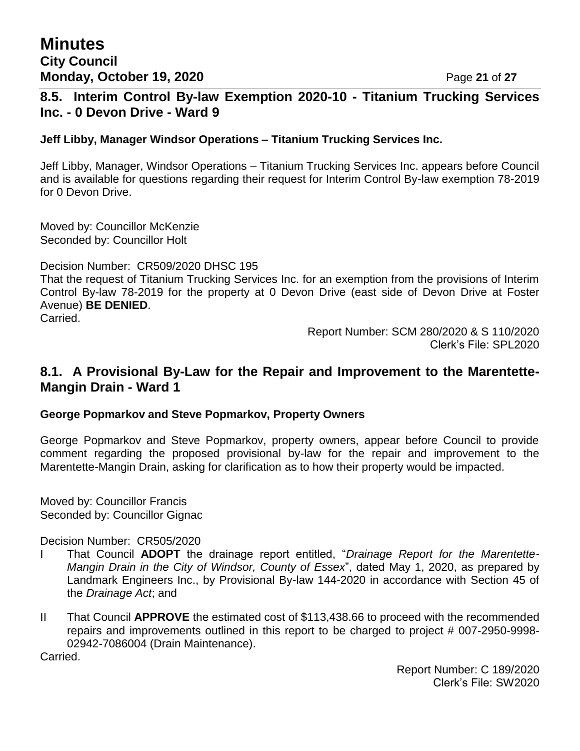### **8.5. Interim Control By-law Exemption 2020-10 - Titanium Trucking Services Inc. - 0 Devon Drive - Ward 9**

#### **Jeff Libby, Manager Windsor Operations – Titanium Trucking Services Inc.**

Jeff Libby, Manager, Windsor Operations – Titanium Trucking Services Inc. appears before Council and is available for questions regarding their request for Interim Control By-law exemption 78-2019 for 0 Devon Drive.

Moved by: Councillor McKenzie Seconded by: Councillor Holt

Decision Number: CR509/2020 DHSC 195

That the request of Titanium Trucking Services Inc. for an exemption from the provisions of Interim Control By-law 78-2019 for the property at 0 Devon Drive (east side of Devon Drive at Foster Avenue) **BE DENIED**.

Carried.

Report Number: SCM 280/2020 & S 110/2020 Clerk's File: SPL2020

### **8.1. A Provisional By-Law for the Repair and Improvement to the Marentette-Mangin Drain - Ward 1**

#### **George Popmarkov and Steve Popmarkov, Property Owners**

George Popmarkov and Steve Popmarkov, property owners, appear before Council to provide comment regarding the proposed provisional by-law for the repair and improvement to the Marentette-Mangin Drain, asking for clarification as to how their property would be impacted.

Moved by: Councillor Francis Seconded by: Councillor Gignac

Decision Number: CR505/2020

- I That Council **ADOPT** the drainage report entitled, "*Drainage Report for the Marentette-Mangin Drain in the City of Windsor, County of Essex*", dated May 1, 2020, as prepared by Landmark Engineers Inc., by Provisional By-law 144-2020 in accordance with Section 45 of the *Drainage Act*; and
- II That Council **APPROVE** the estimated cost of \$113,438.66 to proceed with the recommended repairs and improvements outlined in this report to be charged to project # 007-2950-9998- 02942-7086004 (Drain Maintenance).

Carried.

Report Number: C 189/2020 Clerk's File: SW2020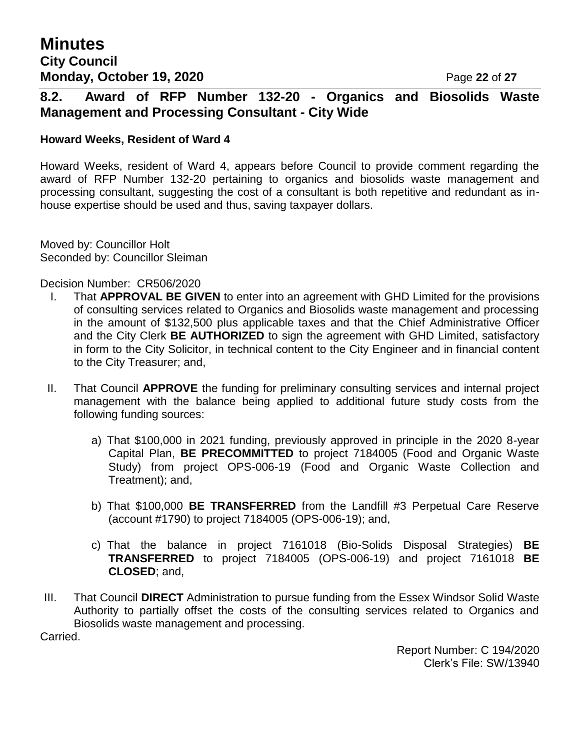## **8.2. Award of RFP Number 132-20 - Organics and Biosolids Waste Management and Processing Consultant - City Wide**

#### **Howard Weeks, Resident of Ward 4**

Howard Weeks, resident of Ward 4, appears before Council to provide comment regarding the award of RFP Number 132-20 pertaining to organics and biosolids waste management and processing consultant, suggesting the cost of a consultant is both repetitive and redundant as inhouse expertise should be used and thus, saving taxpayer dollars.

Moved by: Councillor Holt Seconded by: Councillor Sleiman

Decision Number: CR506/2020

- I. That **APPROVAL BE GIVEN** to enter into an agreement with GHD Limited for the provisions of consulting services related to Organics and Biosolids waste management and processing in the amount of \$132,500 plus applicable taxes and that the Chief Administrative Officer and the City Clerk **BE AUTHORIZED** to sign the agreement with GHD Limited, satisfactory in form to the City Solicitor, in technical content to the City Engineer and in financial content to the City Treasurer; and,
- II. That Council **APPROVE** the funding for preliminary consulting services and internal project management with the balance being applied to additional future study costs from the following funding sources:
	- a) That \$100,000 in 2021 funding, previously approved in principle in the 2020 8-year Capital Plan, **BE PRECOMMITTED** to project 7184005 (Food and Organic Waste Study) from project OPS-006-19 (Food and Organic Waste Collection and Treatment); and,
	- b) That \$100,000 **BE TRANSFERRED** from the Landfill #3 Perpetual Care Reserve (account #1790) to project 7184005 (OPS-006-19); and,
	- c) That the balance in project 7161018 (Bio-Solids Disposal Strategies) **BE TRANSFERRED** to project 7184005 (OPS-006-19) and project 7161018 **BE CLOSED**; and,
- III. That Council **DIRECT** Administration to pursue funding from the Essex Windsor Solid Waste Authority to partially offset the costs of the consulting services related to Organics and Biosolids waste management and processing.

Carried.

Report Number: C 194/2020 Clerk's File: SW/13940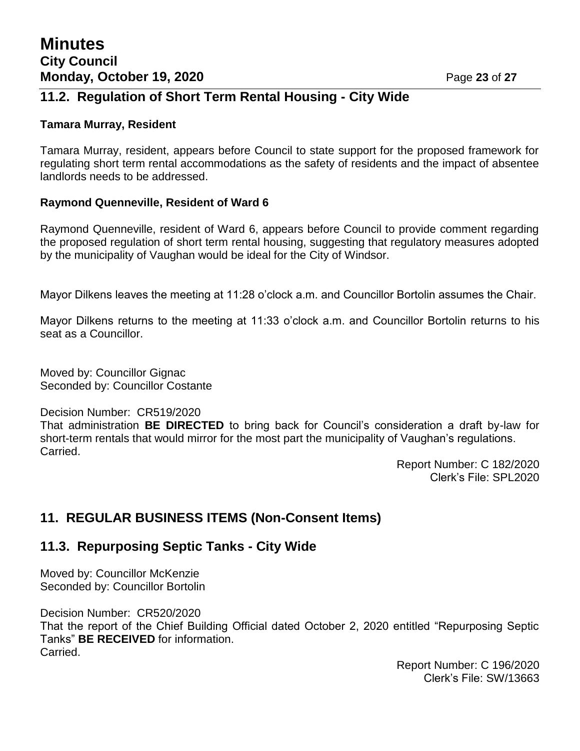## **11.2. Regulation of Short Term Rental Housing - City Wide**

#### **Tamara Murray, Resident**

Tamara Murray, resident, appears before Council to state support for the proposed framework for regulating short term rental accommodations as the safety of residents and the impact of absentee landlords needs to be addressed.

#### **Raymond Quenneville, Resident of Ward 6**

Raymond Quenneville, resident of Ward 6, appears before Council to provide comment regarding the proposed regulation of short term rental housing, suggesting that regulatory measures adopted by the municipality of Vaughan would be ideal for the City of Windsor.

Mayor Dilkens leaves the meeting at 11:28 o'clock a.m. and Councillor Bortolin assumes the Chair.

Mayor Dilkens returns to the meeting at 11:33 o'clock a.m. and Councillor Bortolin returns to his seat as a Councillor.

Moved by: Councillor Gignac Seconded by: Councillor Costante

Decision Number: CR519/2020

That administration **BE DIRECTED** to bring back for Council's consideration a draft by-law for short-term rentals that would mirror for the most part the municipality of Vaughan's regulations. Carried.

> Report Number: C 182/2020 Clerk's File: SPL2020

## **11. REGULAR BUSINESS ITEMS (Non-Consent Items)**

### **11.3. Repurposing Septic Tanks - City Wide**

Moved by: Councillor McKenzie Seconded by: Councillor Bortolin

Decision Number: CR520/2020 That the report of the Chief Building Official dated October 2, 2020 entitled "Repurposing Septic Tanks" **BE RECEIVED** for information. Carried.

> Report Number: C 196/2020 Clerk's File: SW/13663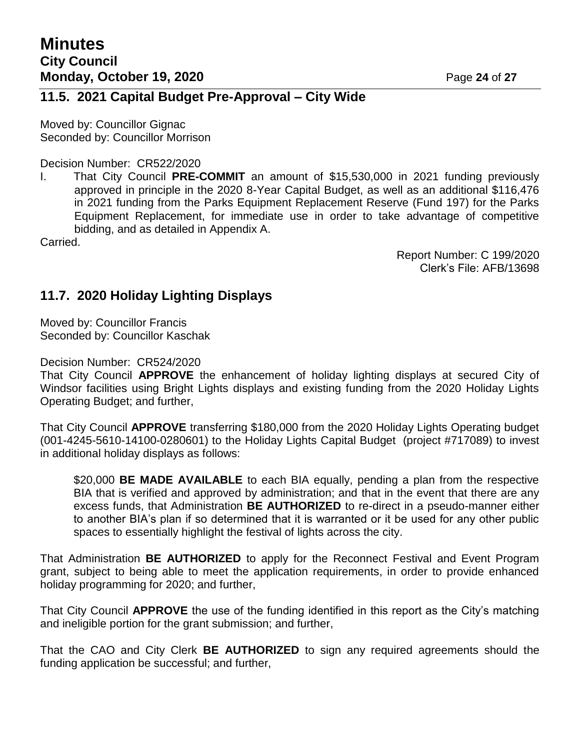### **11.5. 2021 Capital Budget Pre-Approval – City Wide**

Moved by: Councillor Gignac Seconded by: Councillor Morrison

Decision Number: CR522/2020

I. That City Council **PRE-COMMIT** an amount of \$15,530,000 in 2021 funding previously approved in principle in the 2020 8-Year Capital Budget, as well as an additional \$116,476 in 2021 funding from the Parks Equipment Replacement Reserve (Fund 197) for the Parks Equipment Replacement, for immediate use in order to take advantage of competitive bidding, and as detailed in Appendix A.

Carried.

Report Number: C 199/2020 Clerk's File: AFB/13698

## **11.7. 2020 Holiday Lighting Displays**

Moved by: Councillor Francis Seconded by: Councillor Kaschak

#### Decision Number: CR524/2020

That City Council **APPROVE** the enhancement of holiday lighting displays at secured City of Windsor facilities using Bright Lights displays and existing funding from the 2020 Holiday Lights Operating Budget; and further,

That City Council **APPROVE** transferring \$180,000 from the 2020 Holiday Lights Operating budget (001-4245-5610-14100-0280601) to the Holiday Lights Capital Budget (project #717089) to invest in additional holiday displays as follows:

\$20,000 **BE MADE AVAILABLE** to each BIA equally, pending a plan from the respective BIA that is verified and approved by administration; and that in the event that there are any excess funds, that Administration **BE AUTHORIZED** to re-direct in a pseudo-manner either to another BIA's plan if so determined that it is warranted or it be used for any other public spaces to essentially highlight the festival of lights across the city.

That Administration **BE AUTHORIZED** to apply for the Reconnect Festival and Event Program grant, subject to being able to meet the application requirements, in order to provide enhanced holiday programming for 2020; and further,

That City Council **APPROVE** the use of the funding identified in this report as the City's matching and ineligible portion for the grant submission; and further,

That the CAO and City Clerk **BE AUTHORIZED** to sign any required agreements should the funding application be successful; and further,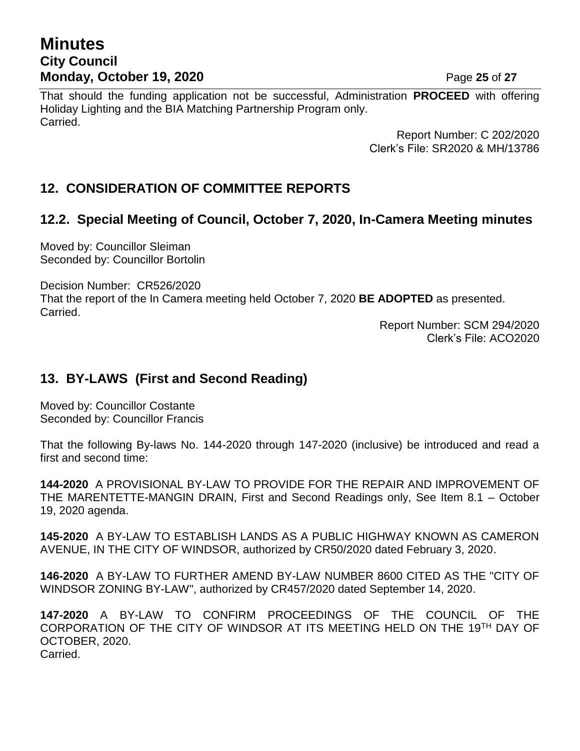## **Minutes City Council Monday, October 19, 2020 Page 25 of 27**

That should the funding application not be successful, Administration **PROCEED** with offering Holiday Lighting and the BIA Matching Partnership Program only. Carried.

> Report Number: C 202/2020 Clerk's File: SR2020 & MH/13786

## **12. CONSIDERATION OF COMMITTEE REPORTS**

## **12.2. Special Meeting of Council, October 7, 2020, In-Camera Meeting minutes**

Moved by: Councillor Sleiman Seconded by: Councillor Bortolin

Decision Number: CR526/2020

That the report of the In Camera meeting held October 7, 2020 **BE ADOPTED** as presented. Carried.

> Report Number: SCM 294/2020 Clerk's File: ACO2020

## **13. BY-LAWS (First and Second Reading)**

Moved by: Councillor Costante Seconded by: Councillor Francis

That the following By-laws No. 144-2020 through 147-2020 (inclusive) be introduced and read a first and second time:

**144-2020** A PROVISIONAL BY-LAW TO PROVIDE FOR THE REPAIR AND IMPROVEMENT OF THE MARENTETTE-MANGIN DRAIN, First and Second Readings only, See Item 8.1 – October 19, 2020 agenda.

**145-2020** A BY-LAW TO ESTABLISH LANDS AS A PUBLIC HIGHWAY KNOWN AS CAMERON AVENUE, IN THE CITY OF WINDSOR, authorized by CR50/2020 dated February 3, 2020.

**146-2020** A BY-LAW TO FURTHER AMEND BY-LAW NUMBER 8600 CITED AS THE "CITY OF WINDSOR ZONING BY-LAW", authorized by CR457/2020 dated September 14, 2020.

**147-2020** A BY-LAW TO CONFIRM PROCEEDINGS OF THE COUNCIL OF THE CORPORATION OF THE CITY OF WINDSOR AT ITS MEETING HELD ON THE 19TH DAY OF OCTOBER, 2020. Carried.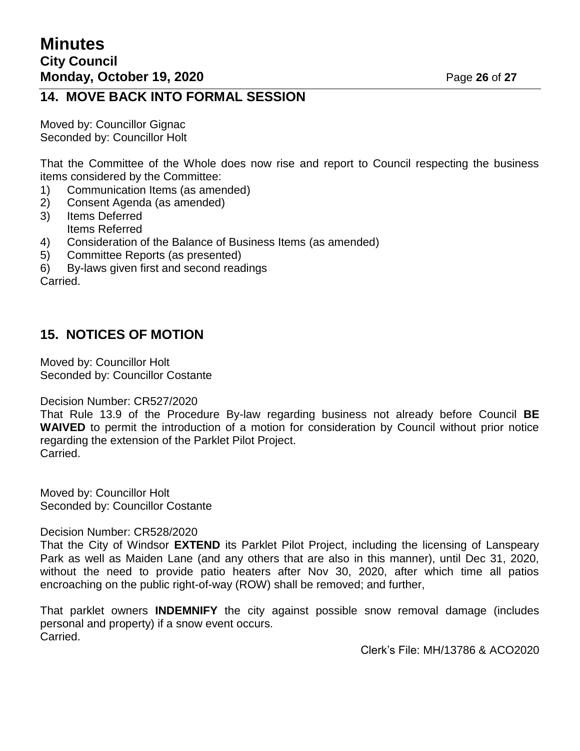## **14. MOVE BACK INTO FORMAL SESSION**

Moved by: Councillor Gignac Seconded by: Councillor Holt

That the Committee of the Whole does now rise and report to Council respecting the business items considered by the Committee:

- 1) Communication Items (as amended)
- 2) Consent Agenda (as amended)
- 3) Items Deferred Items Referred
- 4) Consideration of the Balance of Business Items (as amended)
- 5) Committee Reports (as presented)
- 6) By-laws given first and second readings

Carried.

## **15. NOTICES OF MOTION**

Moved by: Councillor Holt Seconded by: Councillor Costante

#### Decision Number: CR527/2020

That Rule 13.9 of the Procedure By-law regarding business not already before Council **BE WAIVED** to permit the introduction of a motion for consideration by Council without prior notice regarding the extension of the Parklet Pilot Project. Carried.

Moved by: Councillor Holt Seconded by: Councillor Costante

Decision Number: CR528/2020

That the City of Windsor **EXTEND** its Parklet Pilot Project, including the licensing of Lanspeary Park as well as Maiden Lane (and any others that are also in this manner), until Dec 31, 2020, without the need to provide patio heaters after Nov 30, 2020, after which time all patios encroaching on the public right-of-way (ROW) shall be removed; and further,

That parklet owners **INDEMNIFY** the city against possible snow removal damage (includes personal and property) if a snow event occurs. Carried.

Clerk's File: MH/13786 & ACO2020